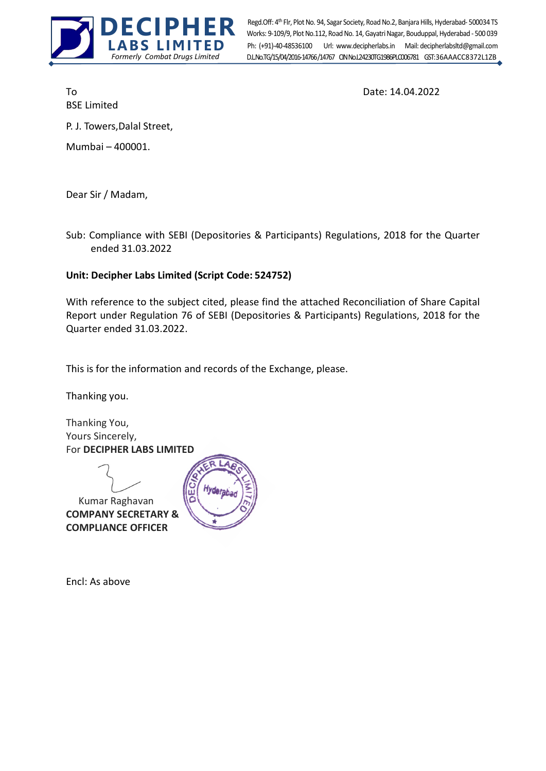

Ph: (+91)-40-48536100 Url: www.decipherlabs.in Mail: decipherlabsltd@gmail.com Works: 9-109/9, Plot No.112, Road No. 14, Gayatri Nagar, Bouduppal, Hyderabad - 500 039 D.L.No.TG/15/04/2016-14766/14767 CIN No.124230TG1986PLC006781 GST: 36AAACC8372L1ZB Regd.Off: 4th Flr, Plot No. 94, Sagar Society, Road No.2, Banjara Hills, Hyderabad- 500034 TS

BSE Limited

To Date: 14.04.2022

P. J. Towers,Dalal Street,

Mumbai – 400001.

Dear Sir / Madam,

Sub: Compliance with SEBI (Depositories & Participants) Regulations, 2018 for the Quarter ended 31.03.2022

## Unit: Decipher Labs Limited (Script Code: 524752)

With reference to the subject cited, please find the attached Reconciliation of Share Capital Report under Regulation 76 of SEBI (Depositories & Participants) Regulations, 2018 for the Quarter ended 31.03.2022.

This is for the information and records of the Exchange, please.

Thanking you.

Thanking You, Yours Sincerely, For DECIPHER LABS LIMITED

 Kumar Raghavan COMPANY SECRETARY & COMPLIANCE OFFICER



Encl: As above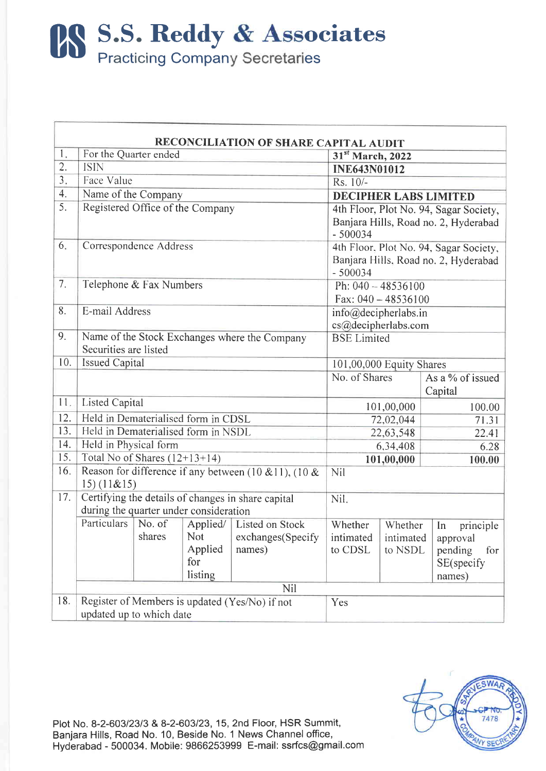**BS S.S. Reddy & Associates**<br>Practicing Company Secretaries

| RECONCILIATION OF SHARE CAPITAL AUDIT |                                                                     |        |                                                   |                        |                          |            |                            |  |
|---------------------------------------|---------------------------------------------------------------------|--------|---------------------------------------------------|------------------------|--------------------------|------------|----------------------------|--|
| 1.                                    | For the Quarter ended                                               |        | 31st March, 2022                                  |                        |                          |            |                            |  |
| 2.                                    | <b>ISIN</b>                                                         |        | <b>INE643N01012</b>                               |                        |                          |            |                            |  |
| 3 <sub>1</sub>                        | Face Value                                                          |        | $Rs. 10/-$                                        |                        |                          |            |                            |  |
| 4.                                    | Name of the Company                                                 |        | <b>DECIPHER LABS LIMITED</b>                      |                        |                          |            |                            |  |
| 5.                                    | Registered Office of the Company                                    |        | 4th Floor, Plot No. 94, Sagar Society,            |                        |                          |            |                            |  |
|                                       |                                                                     |        | Banjara Hills, Road no. 2, Hyderabad<br>$-500034$ |                        |                          |            |                            |  |
| 6.                                    | Correspondence Address                                              |        | 4th Floor, Plot No. 94, Sagar Society,            |                        |                          |            |                            |  |
|                                       |                                                                     |        | Banjara Hills, Road no. 2, Hyderabad<br>$-500034$ |                        |                          |            |                            |  |
| 7.                                    | Telephone & Fax Numbers                                             |        |                                                   |                        | Ph: 040 - 48536100       |            |                            |  |
|                                       |                                                                     |        | Fax: $040 - 48536100$                             |                        |                          |            |                            |  |
| 8.                                    | E-mail Address                                                      |        | info@decipherlabs.in                              |                        |                          |            |                            |  |
|                                       |                                                                     |        |                                                   |                        | cs@decipherlabs.com      |            |                            |  |
| 9.                                    | Name of the Stock Exchanges where the Company                       |        | <b>BSE</b> Limited                                |                        |                          |            |                            |  |
|                                       | Securities are listed                                               |        |                                                   |                        |                          |            |                            |  |
| 10.                                   | <b>Issued Capital</b>                                               |        |                                                   |                        | 101,00,000 Equity Shares |            |                            |  |
|                                       |                                                                     |        |                                                   |                        | No. of Shares            |            | As a % of issued           |  |
|                                       |                                                                     |        | Capital                                           |                        |                          |            |                            |  |
| 11.                                   | <b>Listed Capital</b>                                               |        |                                                   |                        |                          | 101,00,000 | 100.00                     |  |
| 12.                                   | Held in Dematerialised form in CDSL                                 |        | 72,02,044<br>71.31                                |                        |                          |            |                            |  |
| 13.                                   | Held in Dematerialised form in NSDL                                 |        | 22,63,548<br>22.41                                |                        |                          |            |                            |  |
| 14.                                   | Held in Physical form                                               |        | 6,34,408<br>6.28                                  |                        |                          |            |                            |  |
| 15.                                   | Total No of Shares $(12+13+14)$                                     |        |                                                   | 101,00,000             | 100.00                   |            |                            |  |
| 16.                                   | Reason for difference if any between (10 & 11), (10 &<br>15)(11&15) |        | Nil                                               |                        |                          |            |                            |  |
| 17.                                   | Certifying the details of changes in share capital                  |        |                                                   |                        |                          |            |                            |  |
|                                       | during the quarter under consideration                              |        | Nil.                                              |                        |                          |            |                            |  |
|                                       | Particulars                                                         | No. of | Applied/                                          | <b>Listed on Stock</b> | Whether                  | Whether    |                            |  |
|                                       |                                                                     | shares | Not                                               | exchanges(Specify      | intimated                | intimated  | principle<br>In            |  |
|                                       |                                                                     |        | Applied                                           | names)                 | to CDSL                  | to NSDL    | approval<br>for<br>pending |  |
|                                       |                                                                     |        | for                                               |                        |                          |            | SE(specify                 |  |
|                                       |                                                                     |        | listing                                           |                        |                          |            | names)                     |  |
|                                       |                                                                     | Nil    |                                                   |                        |                          |            |                            |  |
| 18.                                   | Register of Members is updated (Yes/No) if not                      |        | Yes                                               |                        |                          |            |                            |  |
|                                       | updated up to which date                                            |        |                                                   |                        |                          |            |                            |  |

Plot No. 8-2-603/23/3 & 8-2-603/23, 15, 2nd Floor, HSR Summit, Banjara Hills, Road No. 10, Beside No. 1 News Channel office,<br>Hyderabad - 500034. Mobile: 9866253999 E-mail: ssrfcs@gmail.com